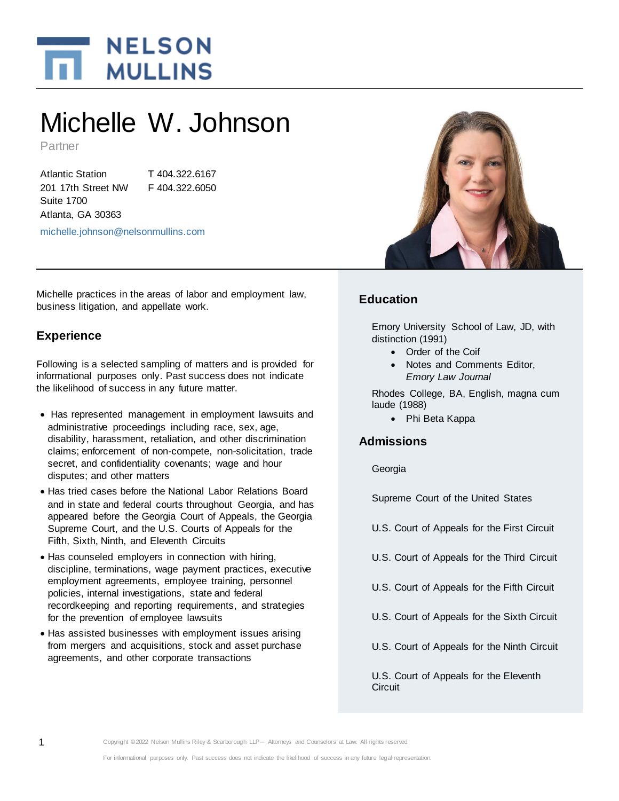

# Michelle W. Johnson

Partner

Atlantic Station 201 17th Street NW Suite 1700 Atlanta, GA 30363

T 404.322.6167 F 404.322.6050

[michelle.johnson@nelsonmullins.com](mailto:michelle.johnson@nelsonmullins.com) 

Michelle practices in the areas of labor and employment law, business litigation, and appellate work.

## **Experience**

Following is a selected sampling of matters and is provided for informational purposes only. Past success does not indicate the likelihood of success in any future matter.

- Has represented management in employment lawsuits and administrative proceedings including race, sex, age, disability, harassment, retaliation, and other discrimination claims; enforcement of non-compete, non-solicitation, trade secret, and confidentiality covenants; wage and hour disputes; and other matters
- Has tried cases before the National Labor Relations Board and in state and federal courts throughout Georgia, and has appeared before the Georgia Court of Appeals, the Georgia Supreme Court, and the U.S. Courts of Appeals for the Fifth, Sixth, Ninth, and Eleventh Circuits
- Has counseled employers in connection with hiring, discipline, terminations, wage payment practices, executive employment agreements, employee training, personnel policies, internal investigations, state and federal recordkeeping and reporting requirements, and strategies for the prevention of employee lawsuits
- Has assisted businesses with employment issues arising from mergers and acquisitions, stock and asset purchase agreements, and other corporate transactions



# **Education**

Emory University School of Law, JD, with distinction (1991)

- Order of the Coif
- Notes and Comments Editor, *Emory Law Journal*

Rhodes College, BA, English, magna cum laude (1988)

Phi Beta Kappa

# **Admissions**

Georgia

Supreme Court of the United States

U.S. Court of Appeals for the First Circuit

- U.S. Court of Appeals for the Third Circuit
- U.S. Court of Appeals for the Fifth Circuit
- U.S. Court of Appeals for the Sixth Circuit
- U.S. Court of Appeals for the Ninth Circuit

U.S. Court of Appeals for the Eleventh **Circuit**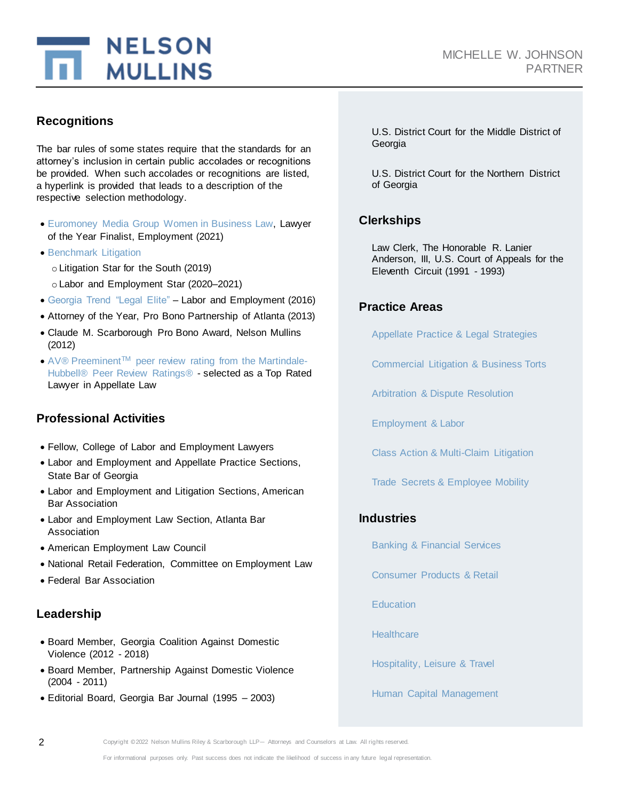

## **Recognitions**

The bar rules of some states require that the standards for an attorney's inclusion in certain public accolades or recognitions be provided. When such accolades or recognitions are listed, a hyperlink is provided that leads to a description of the respective selection methodology.

- [Euromoney Media Group Women in Business Law,](https://www.iflr.com/pdfsiflr/WiBL-Americas-Methodology-2021.pdf) Lawyer of the Year Finalist, Employment (2021)
- **[Benchmark Litigation](https://www.benchmarklitigation.com/general/research)**

o Litigation Star for the South (2019)

- o Labor and Employment Star (2020–2021)
- [Georgia Trend "Legal Elite"](http://www.georgiatrend.com/December-2016/Georgia-Trends-2016-Legal-Elite/) Labor and Employment (2016)
- Attorney of the Year, Pro Bono Partnership of Atlanta (2013)
- Claude M. Scarborough Pro Bono Award, Nelson Mullins (2012)
- $\bullet$  AV® Preeminent<sup>TM</sup> [peer review rating from the Martindale-](https://www.martindale.com/ratings-and-reviews/consumers/)[Hubbell® Peer Review Ratings®](https://www.martindale.com/ratings-and-reviews/consumers/) - selected as a Top Rated Lawyer in Appellate Law

# **Professional Activities**

- Fellow, College of Labor and Employment Lawyers
- Labor and Employment and Appellate Practice Sections, State Bar of Georgia
- Labor and Employment and Litigation Sections, American Bar Association
- Labor and Employment Law Section, Atlanta Bar Association
- American Employment Law Council
- National Retail Federation, Committee on Employment Law
- Federal Bar Association

#### **Leadership**

- Board Member, Georgia Coalition Against Domestic Violence (2012 - 2018)
- Board Member, Partnership Against Domestic Violence (2004 - 2011)
- Editorial Board, Georgia Bar Journal (1995 2003)

U.S. District Court for the Middle District of Georgia

U.S. District Court for the Northern District of Georgia

#### **Clerkships**

Law Clerk, The Honorable R. Lanier Anderson, III, U.S. Court of Appeals for the Eleventh Circuit (1991 - 1993)

# **Practice Areas**

[Appellate Practice & Legal Strategies](https://www.nelsonmullins.com/capabilities/appellate_practice_and_legal_strategies)

[Commercial Litigation & Business Torts](https://www.nelsonmullins.com/capabilities/commercial_litigation_and_business_torts)

[Arbitration & Dispute Resolution](https://www.nelsonmullins.com/capabilities/arbitration-and-dispute-resolution)

[Employment & Labor](https://www.nelsonmullins.com/capabilities/employment_and_labor)

[Class Action & Multi-Claim Litigation](https://www.nelsonmullins.com/capabilities/class-action-and-multi-claim-litigation)

[Trade Secrets & Employee Mobility](https://www.nelsonmullins.com/capabilities/trade_secrets_and_employee_mobility)

# **Industries**

[Banking & Financial Services](https://www.nelsonmullins.com/capabilities/banking_and_financial_services_industry)

[Consumer Products & Retail](https://www.nelsonmullins.com/capabilities/consumer_products_and_retail)

**[Education](https://www.nelsonmullins.com/capabilities/education_industry)** 

**[Healthcare](https://www.nelsonmullins.com/capabilities/healthcare_industry)** 

[Hospitality, Leisure & Travel](https://www.nelsonmullins.com/capabilities/hospitality_leisure_and_travel)

Human [Capital Management](https://www.nelsonmullins.com/capabilities/human_capital_management)

2 Copyright ©2022 Nelson Mullins Riley & Scarborough LLP— Attorneys and Counselors at Law. All rights reserved.

For informational purposes only. Past success does not indicate the likelihood of success in any future legal representation.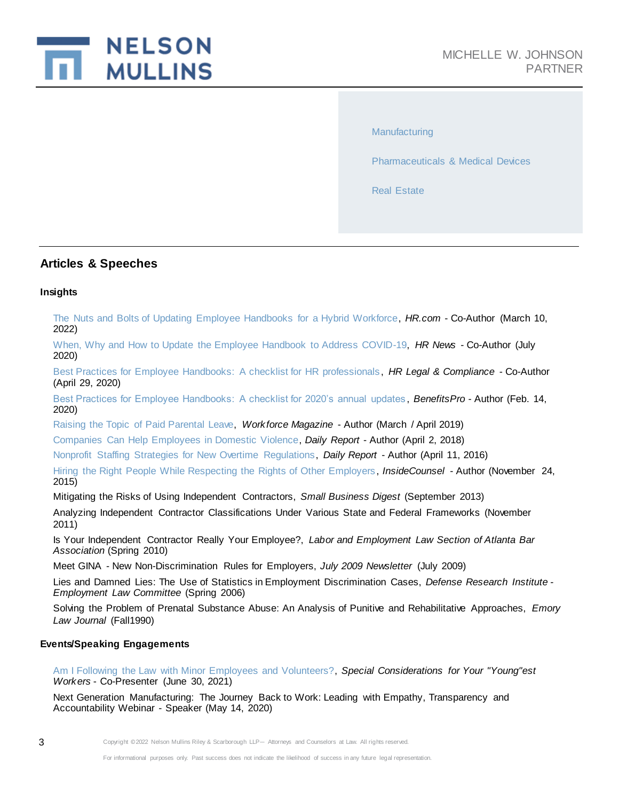

**[Manufacturing](https://www.nelsonmullins.com/capabilities/manufacturing)** 

[Pharmaceuticals & Medical Devices](https://www.nelsonmullins.com/capabilities/pharmaceuticals_and_medical_devices)

[Real Estate](https://www.nelsonmullins.com/capabilities/real_estate_industry)

#### **Articles & Speeches**

#### **Insights**

[The Nuts and Bolts of Updating Employee Handbooks for a Hybrid Workforce,](https://www.nelsonmullins.com/idea_exchange/insights/the-nuts-and-bolts-of-updating-employee-handbooks-for-a-hybrid-workforce) *HR.com* - Co-Author (March 10, 2022)

[When, Why and How to Update the Employee Handbook to Address COVID-19,](https://www.nelsonmullins.com/idea_exchange/insights/when-why-and-how-to-update-the-employee-handbook-to-address-covid-19) *HR News* - Co-Author (July 2020)

[Best Practices for Employee Handbooks: A checklist for HR professionals,](https://www.nelsonmullins.com/idea_exchange/insights/best-practices-for-employee-handbooks-a-checklist-for-hr-professionals) *HR Legal & Compliance* - Co-Author (April 29, 2020)

[Best Practices for Employee Handbooks: A checklist for 2020's annual updates](https://www.nelsonmullins.com/idea_exchange/insights/best-practices-for-employee-handbooks-a-checklist-for-2020-s-annual-updates) , *BenefitsPro* - Author (Feb. 14, 2020)

[Raising the Topic of Paid Parental Leave,](https://www.nelsonmullins.com/idea_exchange/insights/raising-the-topic-of-paid-parental-leave) *Workforce Magazine* - Author (March / April 2019)

[Companies Can Help Employees in Domestic Violence,](https://www.nelsonmullins.com/idea_exchange/insights/companies-can-help-employees-in-domestic-violence) *Daily Report* - Author (April 2, 2018)

[Nonprofit Staffing Strategies for New Overtime Regulations,](https://www.nelsonmullins.com/idea_exchange/insights/nonprofit_staffing_strategies_for_new_overtime_regulations) *Daily Report* - Author (April 11, 2016)

[Hiring the Right People While Respecting the Rights of Other Employers,](https://www.nelsonmullins.com/idea_exchange/insights/hiring_the_right_people_while_respecting_the_rights_of_other_employers) *InsideCounsel* - Author (November 24, 2015)

Mitigating the Risks of Using Independent Contractors, *Small Business Digest* (September 2013)

Analyzing Independent Contractor Classifications Under Various State and Federal Frameworks (November 2011)

Is Your Independent Contractor Really Your Employee?, *Labor and Employment Law Section of Atlanta Bar Association* (Spring 2010)

Meet GINA - New Non-Discrimination Rules for Employers, *July 2009 Newsletter* (July 2009)

Lies and Damned Lies: The Use of Statistics in Employment Discrimination Cases, *Defense Research Institute - Employment Law Committee* (Spring 2006)

Solving the Problem of Prenatal Substance Abuse: An Analysis of Punitive and Rehabilitative Approaches, *Emory Law Journal* (Fall1990)

#### **Events/Speaking Engagements**

[Am I Following the Law with Minor Employees and Volunteers?,](https://www.nelsonmullins.com/idea_exchange/events/am-i-following-the-law-with-minor-employees-and-volunteers) *Special Considerations for Your "Young"est Workers* - Co-Presenter (June 30, 2021)

Next Generation Manufacturing: The Journey Back to Work: Leading with Empathy, Transparency and Accountability Webinar - Speaker (May 14, 2020)

3 Copyright ©2022 Nelson Mullins Riley & Scarborough LLP— Attorneys and Counselors at Law. All rights reserved.